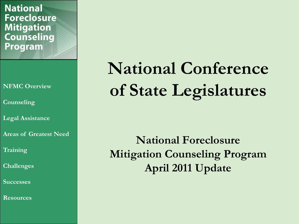#### **NFMC Overview**

**Counseling**

**Legal Assistance**

**Areas of Greatest Need**

**Training**

**Challenges**

**Successes**

**Resources**

# **National Conference of State Legislatures**

**National Foreclosure Mitigation Counseling Program April 2011 Update**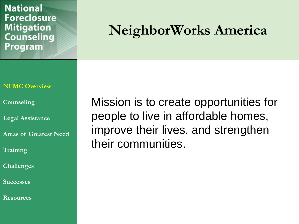### **NeighborWorks America**

#### **NFMC Overview**

**Counseling**

**Legal Assistance**

**Areas of Greatest Need**

**Training**

**Challenges**

**Successes**

**Resources**

Mission is to create opportunities for people to live in affordable homes, improve their lives, and strengthen their communities.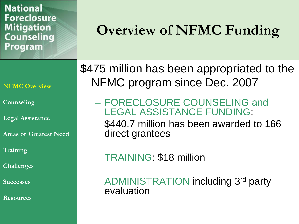### **Overview of NFMC Funding**

**NEMO OF LATO UT NFMC Overview**

**Application Reviews Areas of Greatest Need Counseling**

**Legal Assistance Legal Assistance**

**Training Areas of Greatest Need**

**Program Administration Training**

**& Program Evaluation Challenges**

**Leveraging Impact Successes**

**Appendix: Geographic, Demographic, and Resources**

\$475 million has been appropriated to the NFMC program since Dec. 2007

### – FORECLOSURE COUNSELING and LEGAL ASSISTANCE FUNDING:

\$440.7 million has been awarded to 166 direct grantees

### – TRAINING: \$18 million

– ADMINISTRATION including 3rd party evaluation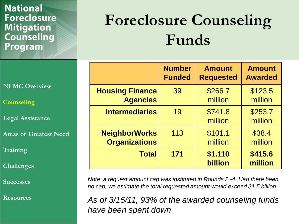# **Foreclosure Counseling Funds**

|                        | <b>Number</b> | <b>Amount</b>      | <b>Amount</b>      |
|------------------------|---------------|--------------------|--------------------|
|                        | <b>Funded</b> | <b>Requested</b>   | <b>Awarded</b>     |
| <b>Housing Finance</b> | 39            | \$266.7            | \$123.5            |
| <b>Agencies</b>        |               | million            | million            |
| <b>Intermediaries</b>  | 19            | \$741.8<br>million | \$253.7<br>million |
| <b>NeighborWorks</b>   | 113           | \$101.1            | \$38.4             |
| <b>Organizations</b>   |               | million            | million            |
| <b>Total</b>           | 171           | \$1.110<br>billion | \$415.6<br>million |

*Note: a request amount cap was instituted in Rounds 2 -4. Had there been no cap, we estimate the total requested amount would exceed \$1.5 billion.* 

*As of 3/15/11, 93% of the awarded counseling funds have been spent down*

#### **NEMC** One **LAD** ON **NFMC Overview**

**Application Reviews Areas of Greatest Need Counseling**

**Legal Assistance Legal Assistance**

**Training Areas of Greatest Need**

**Program Administration Training**

**& Program Evaluation Challenges**

**Leveraging Impact Successes**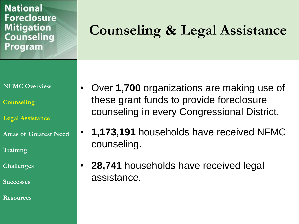### **Counseling & Legal Assistance**

**NEMC** One **LAD** ON **NFMC Overview**

**Application Reviews Areas of Greatest Need Counseling**

**Legal Assistance Legal Assistance**

**Training Areas of Greatest Need**

**Program Administration Training**

**& Program Evaluation Challenges**

**Leveraging Impact Successes**

- Over **1,700** organizations are making use of these grant funds to provide foreclosure counseling in every Congressional District.
- **1,173,191** households have received NFMC counseling.
- **28,741** households have received legal assistance.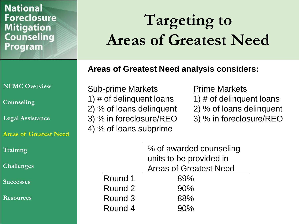# **Targeting to Areas of Greatest Need**

#### **Areas of Greatest Need analysis considers:**

#### **NEMC** One **LAD** ON **NFMC Overview**

**Application Reviews Areas of Greatest Need Counseling**

**Legal Assistance Legal Assistance**

**Training Areas of Greatest Need**

**Program Administration Training**

**& Program Evaluation Challenges**

**Leveraging Impact Successes**

**Appendix: Geographic, Demographic, and Resources**

Sub-prime Markets Prime Markets

- 
- 
- 4) % of loans subprime

- 1)  $\#$  of delinquent loans 1)  $\#$  of delinquent loans
- 2) % of loans delinquent 2) % of loans delinquent
- 3) % in foreclosure/REO 3) % in foreclosure/REO

| % of awarded counseling<br>units to be provided in<br><b>Areas of Greatest Need</b> |
|-------------------------------------------------------------------------------------|
| 89%                                                                                 |
| 90%                                                                                 |
| 88%                                                                                 |
| 90%                                                                                 |
|                                                                                     |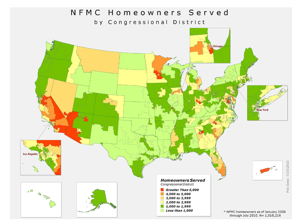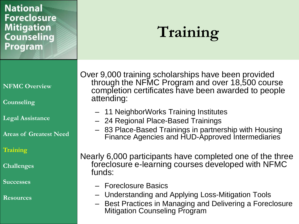| <b>National</b>    |
|--------------------|
| <b>Foreclosure</b> |
| <b>Mitigation</b>  |
| <b>Counseling</b>  |
| Program            |

## **Training**

#### **NEMC** One **LAD** ON **NFMC Overview**

**Application Reviews Areas of Greatest Need Counseling**

**Legal Assistance Legal Assistance**

**Training Areas of Greatest Need**

**Program Administration Training**

**& Program Evaluation Challenges**

**Leveraging Impact Successes**

**Appendix: Geographic, Demographic, and Resources**

Over 9,000 training scholarships have been provided through the NFMC Program and over 18,500 course completion certificates have been awarded to people attending:

- 11 NeighborWorks Training Institutes
- 24 Regional Place-Based Trainings
- 83 Place-Based Trainings in partnership with Housing Finance Agencies and HUD-Approved Intermediaries

Nearly 6,000 participants have completed one of the three foreclosure e-learning courses developed with NFMC funds:

- Foreclosure Basics
- Understanding and Applying Loss-Mitigation Tools
- Best Practices in Managing and Delivering a Foreclosure Mitigation Counseling Program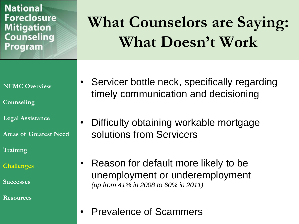# **What Counselors are Saying: What Doesn't Work**

**NEMC** One **LAD** ON **NFMC Overview**

- **Application Reviews Areas of Greatest Need Counseling**
- **Legal Assistance Legal Assistance**
- **Training Areas of Greatest Need**
- **Program Administration Training**

**& Program Evaluation Challenges**

**Leveraging Impact Successes**

- Servicer bottle neck, specifically regarding timely communication and decisioning
- Difficulty obtaining workable mortgage solutions from Servicers
- Reason for default more likely to be unemployment or underemployment *(up from 41% in 2008 to 60% in 2011)*
- Prevalence of Scammers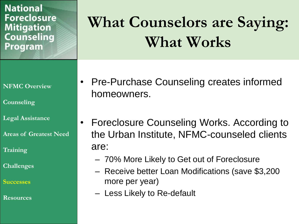# **What Counselors are Saying: What Works**

**NEMC** One **LAD** ON **NFMC Overview**

**Application Reviews Areas of Greatest Need Counseling**

**Legal Assistance Legal Assistance**

**Training Areas of Greatest Need**

**Program Administration Training**

**& Program Evaluation Challenges**

**Leveraging Impact Successes**

- Pre-Purchase Counseling creates informed homeowners.
- Foreclosure Counseling Works. According to the Urban Institute, NFMC-counseled clients are:
	- 70% More Likely to Get out of Foreclosure
	- Receive better Loan Modifications (save \$3,200 more per year)
	- Less Likely to Re-default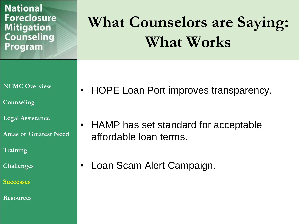# **What Counselors are Saying: What Works**

**NEMC** One **LAD** ON **NFMC Overview**

**Application Reviews Areas of Greatest Need Counseling**

**Legal Assistance Legal Assistance**

**Training Areas of Greatest Need**

**Program Administration Training**

**& Program Evaluation Challenges**

**Leveraging Impact Successes**

**Appendix: Geographic, Demographic, and Resources**

• HOPE Loan Port improves transparency.

- HAMP has set standard for acceptable affordable loan terms.
- Loan Scam Alert Campaign.